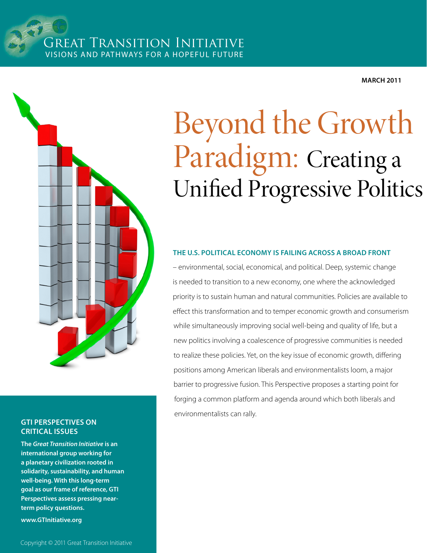# Great Transition Initiative Visions and Pathways for a Hopeful Future

**March 2011**



## **GTI Perspectives on Critical Issues**

**The** *[Great Transition Initiative](http://www.GTInitiative.org)* **is an international group working for a planetary civilization rooted in solidarity, sustainability, and human well-being. With this long-term goal as our frame of reference, GTI Perspectives assess pressing nearterm policy questions.**

**[www.GTInitiative.org](http://www.GTInitiative.org)** 

#### Copyright © 2011 Great Transition Initiative

# Beyond the Growth Paradigm: Creating a Unified Progressive Politics

# **the u.s. political economy is failing across a broad Front**

– environmental, social, economical, and political. Deep, systemic change is needed to transition to a new economy, one where the acknowledged priority is to sustain human and natural communities. Policies are available to effect this transformation and to temper economic growth and consumerism while simultaneously improving social well-being and quality of life, but a new politics involving a coalescence of progressive communities is needed to realize these policies. Yet, on the key issue of economic growth, differing positions among American liberals and environmentalists loom, a major barrier to progressive fusion. This Perspective proposes a starting point for forging a common platform and agenda around which both liberals and environmentalists can rally.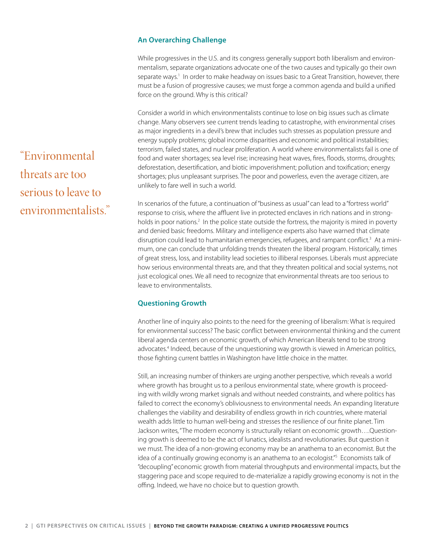#### **An Overarching Challenge**

While progressives in the U.S. and its congress generally support both liberalism and environmentalism, separate organizations advocate one of the two causes and typically go their own separate ways.<sup>1</sup> In order to make headway on issues basic to a Great Transition, however, there must be a fusion of progressive causes; we must forge a common agenda and build a unified force on the ground. Why is this critical?

Consider a world in which environmentalists continue to lose on big issues such as climate change. Many observers see current trends leading to catastrophe, with environmental crises as major ingredients in a devil's brew that includes such stresses as population pressure and energy supply problems; global income disparities and economic and political instabilities; terrorism, failed states, and nuclear proliferation. A world where environmentalists fail is one of food and water shortages; sea level rise; increasing heat waves, fires, floods, storms, droughts; deforestation, desertification, and biotic impoverishment; pollution and toxification; energy shortages; plus unpleasant surprises. The poor and powerless, even the average citizen, are unlikely to fare well in such a world.

In scenarios of the future, a continuation of "business as usual" can lead to a "fortress world" response to crisis, where the affluent live in protected enclaves in rich nations and in strongholds in poor nations.<sup>2</sup> In the police state outside the fortress, the majority is mired in poverty and denied basic freedoms. Military and intelligence experts also have warned that climate disruption could lead to humanitarian emergencies, refugees, and rampant conflict.<sup>3</sup> At a minimum, one can conclude that unfolding trends threaten the liberal program. Historically, times of great stress, loss, and instability lead societies to illiberal responses. Liberals must appreciate how serious environmental threats are, and that they threaten political and social systems, not just ecological ones. We all need to recognize that environmental threats are too serious to leave to environmentalists.

#### **Questioning Growth**

Another line of inquiry also points to the need for the greening of liberalism: What is required for environmental success? The basic conflict between environmental thinking and the current liberal agenda centers on economic growth, of which American liberals tend to be strong advocates.4 Indeed, because of the unquestioning way growth is viewed in American politics, those fighting current battles in Washington have little choice in the matter.

Still, an increasing number of thinkers are urging another perspective, which reveals a world where growth has brought us to a perilous environmental state, where growth is proceeding with wildly wrong market signals and without needed constraints, and where politics has failed to correct the economy's obliviousness to environmental needs. An expanding literature challenges the viability and desirability of endless growth in rich countries, where material wealth adds little to human well-being and stresses the resilience of our finite planet. Tim Jackson writes, "The modern economy is structurally reliant on economic growth….Questioning growth is deemed to be the act of lunatics, idealists and revolutionaries. But question it we must. The idea of a non-growing economy may be an anathema to an economist. But the idea of a continually growing economy is an anathema to an ecologist."<sup>5</sup> Economists talk of "decoupling" economic growth from material throughputs and environmental impacts, but the staggering pace and scope required to de-materialize a rapidly growing economy is not in the offing. Indeed, we have no choice but to question growth.

"Environmental threats are too serious to leave to environmentalists."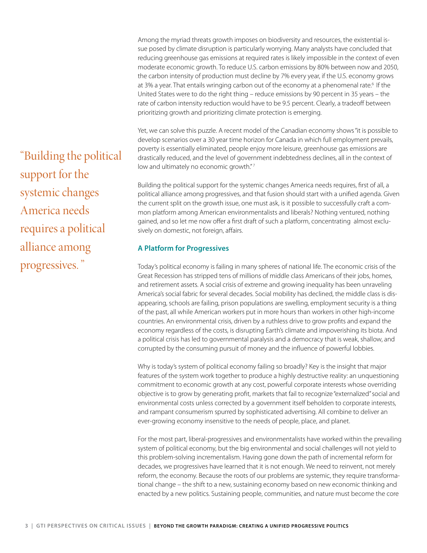Among the myriad threats growth imposes on biodiversity and resources, the existential issue posed by climate disruption is particularly worrying. Many analysts have concluded that reducing greenhouse gas emissions at required rates is likely impossible in the context of even moderate economic growth. To reduce U.S. carbon emissions by 80% between now and 2050, the carbon intensity of production must decline by 7% every year, if the U.S. economy grows at 3% a year. That entails wringing carbon out of the economy at a phenomenal rate.<sup>6</sup> If the United States were to do the right thing – reduce emissions by 90 percent in 35 years – the rate of carbon intensity reduction would have to be 9.5 percent. Clearly, a tradeoff between prioritizing growth and prioritizing climate protection is emerging.

Yet, we can solve this puzzle. A recent model of the Canadian economy shows "it is possible to develop scenarios over a 30 year time horizon for Canada in which full employment prevails, poverty is essentially eliminated, people enjoy more leisure, greenhouse gas emissions are drastically reduced, and the level of government indebtedness declines, all in the context of low and ultimately no economic growth."<sup>7</sup>

Building the political support for the systemic changes America needs requires, first of all, a political alliance among progressives, and that fusion should start with a unified agenda. Given the current split on the growth issue, one must ask, is it possible to successfully craft a common platform among American environmentalists and liberals? Nothing ventured, nothing gained, and so let me now offer a first draft of such a platform, concentrating almost exclusively on domestic, not foreign, affairs.

## **A Platform for Progressives**

Today's political economy is failing in many spheres of national life. The economic crisis of the Great Recession has stripped tens of millions of middle class Americans of their jobs, homes, and retirement assets. A social crisis of extreme and growing inequality has been unraveling America's social fabric for several decades. Social mobility has declined, the middle class is disappearing, schools are failing, prison populations are swelling, employment security is a thing of the past, all while American workers put in more hours than workers in other high-income countries. An environmental crisis, driven by a ruthless drive to grow profits and expand the economy regardless of the costs, is disrupting Earth's climate and impoverishing its biota. And a political crisis has led to governmental paralysis and a democracy that is weak, shallow, and corrupted by the consuming pursuit of money and the influence of powerful lobbies.

Why is today's system of political economy failing so broadly? Key is the insight that major features of the system work together to produce a highly destructive reality: an unquestioning commitment to economic growth at any cost, powerful corporate interests whose overriding objective is to grow by generating profit, markets that fail to recognize "externalized" social and environmental costs unless corrected by a government itself beholden to corporate interests, and rampant consumerism spurred by sophisticated advertising. All combine to deliver an ever-growing economy insensitive to the needs of people, place, and planet.

For the most part, liberal-progressives and environmentalists have worked within the prevailing system of political economy, but the big environmental and social challenges will not yield to this problem-solving incrementalism. Having gone down the path of incremental reform for decades, we progressives have learned that it is not enough. We need to reinvent, not merely reform, the economy. Because the roots of our problems are systemic, they require transformational change – the shift to a new, sustaining economy based on new economic thinking and enacted by a new politics. Sustaining people, communities, and nature must become the core

"Building the political support for the systemic changes America needs requires a political alliance among progressives."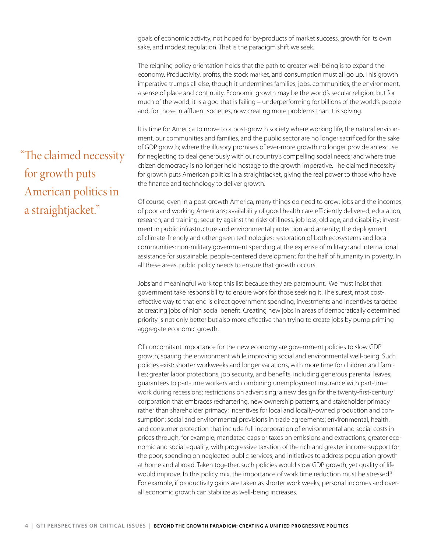goals of economic activity, not hoped for by-products of market success, growth for its own sake, and modest regulation. That is the paradigm shift we seek.

The reigning policy orientation holds that the path to greater well-being is to expand the economy. Productivity, profits, the stock market, and consumption must all go up. This growth imperative trumps all else, though it undermines families, jobs, communities, the environment, a sense of place and continuity. Economic growth may be the world's secular religion, but for much of the world, it is a god that is failing – underperforming for billions of the world's people and, for those in affluent societies, now creating more problems than it is solving.

It is time for America to move to a post-growth society where working life, the natural environment, our communities and families, and the public sector are no longer sacrificed for the sake of GDP growth; where the illusory promises of ever-more growth no longer provide an excuse for neglecting to deal generously with our country's compelling social needs; and where true citizen democracy is no longer held hostage to the growth imperative. The claimed necessity for growth puts American politics in a straightjacket, giving the real power to those who have the finance and technology to deliver growth.

Of course, even in a post-growth America, many things do need to grow: jobs and the incomes of poor and working Americans; availability of good health care efficiently delivered; education, research, and training; security against the risks of illness, job loss, old age, and disability; investment in public infrastructure and environmental protection and amenity; the deployment of climate-friendly and other green technologies; restoration of both ecosystems and local communities; non-military government spending at the expense of military; and international assistance for sustainable, people-centered development for the half of humanity in poverty. In all these areas, public policy needs to ensure that growth occurs.

Jobs and meaningful work top this list because they are paramount. We must insist that government take responsibility to ensure work for those seeking it. The surest, most costeffective way to that end is direct government spending, investments and incentives targeted at creating jobs of high social benefit. Creating new jobs in areas of democratically determined priority is not only better but also more effective than trying to create jobs by pump priming aggregate economic growth.

Of concomitant importance for the new economy are government policies to slow GDP growth, sparing the environment while improving social and environmental well-being. Such policies exist: shorter workweeks and longer vacations, with more time for children and families; greater labor protections, job security, and benefits, including generous parental leaves; guarantees to part-time workers and combining unemployment insurance with part-time work during recessions; restrictions on advertising; a new design for the twenty-first-century corporation that embraces rechartering, new ownership patterns, and stakeholder primacy rather than shareholder primacy; incentives for local and locally-owned production and consumption; social and environmental provisions in trade agreements; environmental, health, and consumer protection that include full incorporation of environmental and social costs in prices through, for example, mandated caps or taxes on emissions and extractions; greater economic and social equality, with progressive taxation of the rich and greater income support for the poor; spending on neglected public services; and initiatives to address population growth at home and abroad. Taken together, such policies would slow GDP growth, yet quality of life would improve. In this policy mix, the importance of work time reduction must be stressed.<sup>8</sup> For example, if productivity gains are taken as shorter work weeks, personal incomes and overall economic growth can stabilize as well-being increases.

"The claimed necessity for growth puts American politics in a straightjacket."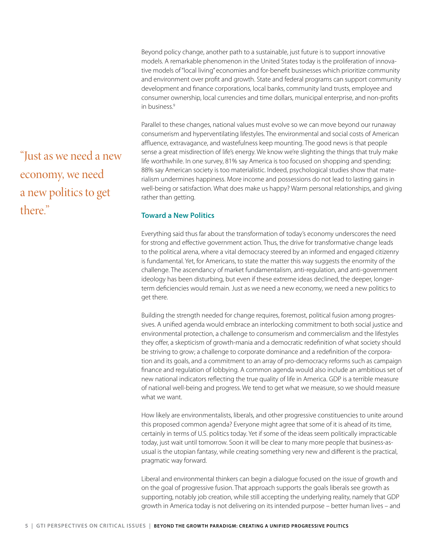Beyond policy change, another path to a sustainable, just future is to support innovative models. A remarkable phenomenon in the United States today is the proliferation of innovative models of "local living" economies and for-benefit businesses which prioritize community and environment over profit and growth. State and federal programs can support community development and finance corporations, local banks, community land trusts, employee and consumer ownership, local currencies and time dollars, municipal enterprise, and non-profits in business.<sup>9</sup>

Parallel to these changes, national values must evolve so we can move beyond our runaway consumerism and hyperventilating lifestyles. The environmental and social costs of American affluence, extravagance, and wastefulness keep mounting. The good news is that people sense a great misdirection of life's energy. We know we're slighting the things that truly make life worthwhile. In one survey, 81% say America is too focused on shopping and spending; 88% say American society is too materialistic. Indeed, psychological studies show that materialism undermines happiness. More income and possessions do not lead to lasting gains in well-being or satisfaction. What does make us happy? Warm personal relationships, and giving rather than getting.

#### **Toward a New Politics**

Everything said thus far about the transformation of today's economy underscores the need for strong and effective government action. Thus, the drive for transformative change leads to the political arena, where a vital democracy steered by an informed and engaged citizenry is fundamental. Yet, for Americans, to state the matter this way suggests the enormity of the challenge. The ascendancy of market fundamentalism, anti-regulation, and anti-government ideology has been disturbing, but even if these extreme ideas declined, the deeper, longerterm deficiencies would remain. Just as we need a new economy, we need a new politics to get there.

Building the strength needed for change requires, foremost, political fusion among progressives. A unified agenda would embrace an interlocking commitment to both social justice and environmental protection, a challenge to consumerism and commercialism and the lifestyles they offer, a skepticism of growth-mania and a democratic redefinition of what society should be striving to grow; a challenge to corporate dominance and a redefinition of the corporation and its goals, and a commitment to an array of pro-democracy reforms such as campaign finance and regulation of lobbying. A common agenda would also include an ambitious set of new national indicators reflecting the true quality of life in America. GDP is a terrible measure of national well-being and progress. We tend to get what we measure, so we should measure what we want.

How likely are environmentalists, liberals, and other progressive constituencies to unite around this proposed common agenda? Everyone might agree that some of it is ahead of its time, certainly in terms of U.S. politics today. Yet if some of the ideas seem politically impracticable today, just wait until tomorrow. Soon it will be clear to many more people that business-asusual is the utopian fantasy, while creating something very new and different is the practical, pragmatic way forward.

Liberal and environmental thinkers can begin a dialogue focused on the issue of growth and on the goal of progressive fusion. That approach supports the goals liberals see growth as supporting, notably job creation, while still accepting the underlying reality, namely that GDP growth in America today is not delivering on its intended purpose – better human lives – and

economy, we need a new politics to get there"

"Just as we need a new